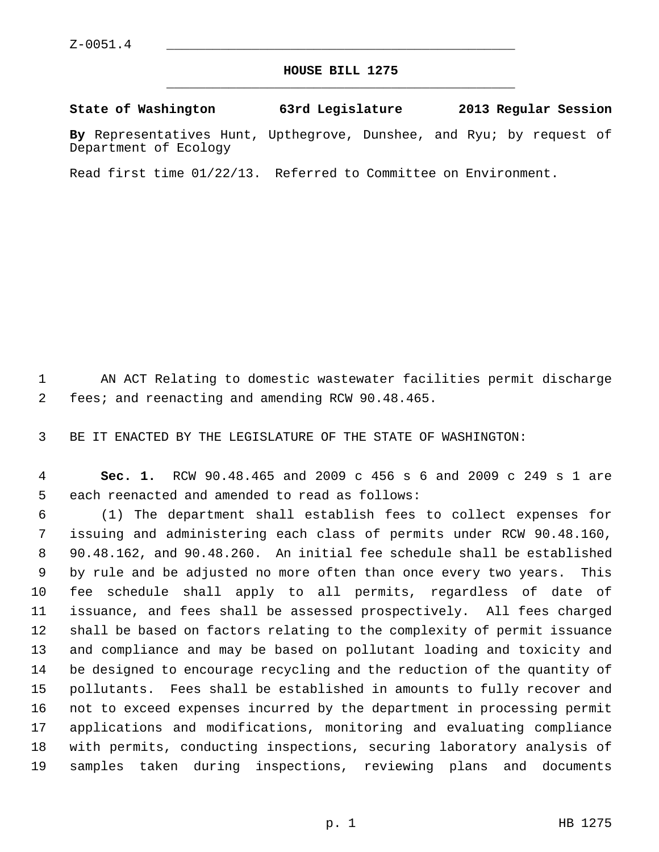## **HOUSE BILL 1275** \_\_\_\_\_\_\_\_\_\_\_\_\_\_\_\_\_\_\_\_\_\_\_\_\_\_\_\_\_\_\_\_\_\_\_\_\_\_\_\_\_\_\_\_\_

## **State of Washington 63rd Legislature 2013 Regular Session**

**By** Representatives Hunt, Upthegrove, Dunshee, and Ryu; by request of Department of Ecology

Read first time 01/22/13. Referred to Committee on Environment.

 1 AN ACT Relating to domestic wastewater facilities permit discharge 2 fees; and reenacting and amending RCW 90.48.465.

3 BE IT ENACTED BY THE LEGISLATURE OF THE STATE OF WASHINGTON:

 4 **Sec. 1.** RCW 90.48.465 and 2009 c 456 s 6 and 2009 c 249 s 1 are 5 each reenacted and amended to read as follows:

 6 (1) The department shall establish fees to collect expenses for 7 issuing and administering each class of permits under RCW 90.48.160, 8 90.48.162, and 90.48.260. An initial fee schedule shall be established 9 by rule and be adjusted no more often than once every two years. This 10 fee schedule shall apply to all permits, regardless of date of 11 issuance, and fees shall be assessed prospectively. All fees charged 12 shall be based on factors relating to the complexity of permit issuance 13 and compliance and may be based on pollutant loading and toxicity and 14 be designed to encourage recycling and the reduction of the quantity of 15 pollutants. Fees shall be established in amounts to fully recover and 16 not to exceed expenses incurred by the department in processing permit 17 applications and modifications, monitoring and evaluating compliance 18 with permits, conducting inspections, securing laboratory analysis of 19 samples taken during inspections, reviewing plans and documents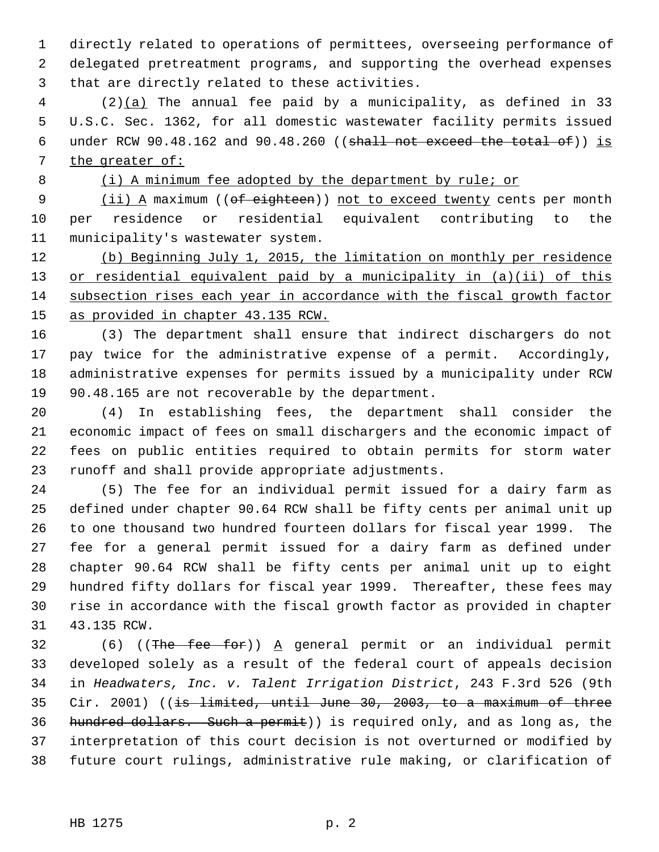1 directly related to operations of permittees, overseeing performance of 2 delegated pretreatment programs, and supporting the overhead expenses 3 that are directly related to these activities.

 4 (2)(a) The annual fee paid by a municipality, as defined in 33 5 U.S.C. Sec. 1362, for all domestic wastewater facility permits issued 6 under RCW 90.48.162 and 90.48.260 (( $shall not exceed the total of$ )) is 7 the greater of:

8 (i) A minimum fee adopted by the department by rule; or

9 (ii) A maximum ((of eighteen)) not to exceed twenty cents per month 10 per residence or residential equivalent contributing to the 11 municipality's wastewater system.

 (b) Beginning July 1, 2015, the limitation on monthly per residence or residential equivalent paid by a municipality in (a)(ii) of this subsection rises each year in accordance with the fiscal growth factor as provided in chapter 43.135 RCW.

16 (3) The department shall ensure that indirect dischargers do not 17 pay twice for the administrative expense of a permit. Accordingly, 18 administrative expenses for permits issued by a municipality under RCW 19 90.48.165 are not recoverable by the department.

20 (4) In establishing fees, the department shall consider the 21 economic impact of fees on small dischargers and the economic impact of 22 fees on public entities required to obtain permits for storm water 23 runoff and shall provide appropriate adjustments.

24 (5) The fee for an individual permit issued for a dairy farm as 25 defined under chapter 90.64 RCW shall be fifty cents per animal unit up 26 to one thousand two hundred fourteen dollars for fiscal year 1999. The 27 fee for a general permit issued for a dairy farm as defined under 28 chapter 90.64 RCW shall be fifty cents per animal unit up to eight 29 hundred fifty dollars for fiscal year 1999. Thereafter, these fees may 30 rise in accordance with the fiscal growth factor as provided in chapter 31 43.135 RCW.

32 (6) ((The fee for)) A general permit or an individual permit 33 developed solely as a result of the federal court of appeals decision 34 in *Headwaters, Inc. v. Talent Irrigation District*, 243 F.3rd 526 (9th 35 Cir. 2001) ((is limited, until June 30, 2003, to a maximum of three 36 hundred dollars. Such a permit)) is required only, and as long as, the 37 interpretation of this court decision is not overturned or modified by 38 future court rulings, administrative rule making, or clarification of